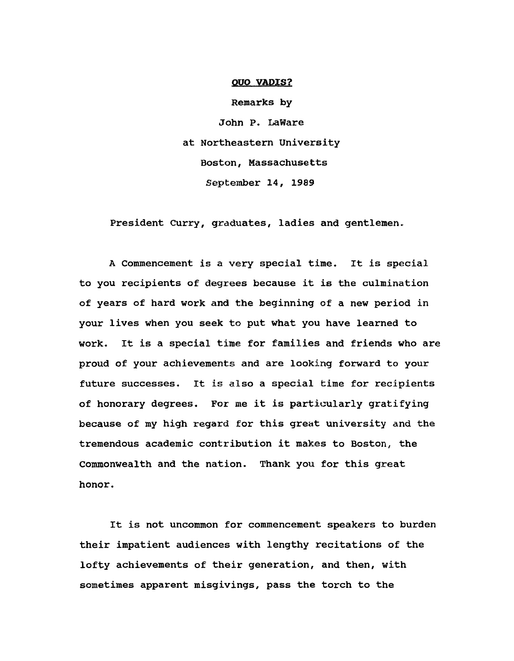## **OUO VADIS?**

Remarks by John P. LaWare at Northeastern University Boston, Massachusetts September 14, 1989

President Curry, graduates, ladies and gentlemen.

A Commencement is a very special time. It is special to you recipients of degrees because it is the culmination of years of hard work and the beginning of a new period in your lives when you seek to put what you have learned to work. It is a special time for families and friends who are proud of your achievements and are looking forward to your future successes. It is also a special time for recipients of honorary degrees. For me it is particularly gratifying because of my high regard for this great university and the tremendous academic contribution it makes to Boston, the Commonwealth and the nation. Thank you for this great honor.

It is not uncommon for commencement speakers to burden their impatient audiences with lengthy recitations of the lofty achievements of their generation, and then, with sometimes apparent misgivings, pass the torch to the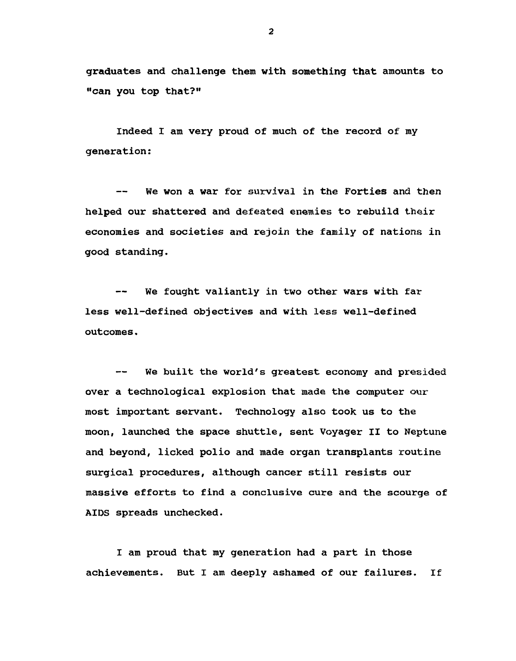graduates and challenge them with something that amounts to "can you top that?"

Indeed I am very proud of much of the record of my generation:

We won a war for survival in the Forties and then  $-$ helped our shattered and defeated enemies to rebuild their economies and societies and rejoin the family of nations in good standing.

We fought valiantly in two other wars with far -less well-defined objectives and with less well-defined outcomes.

We built the world's greatest economy and presided over a technological explosion that made the computer our most important servant. Technology also took us to the moon, launched the space shuttle, sent Voyager II to Neptune and beyond, licked polio and made organ transplants routine surgical procedures, although cancer still resists our massive efforts to find a conclusive cure and the scourge of AIDS spreads unchecked.

I am proud that my generation had a part in those achievements. But I am deeply ashamed of our failures. If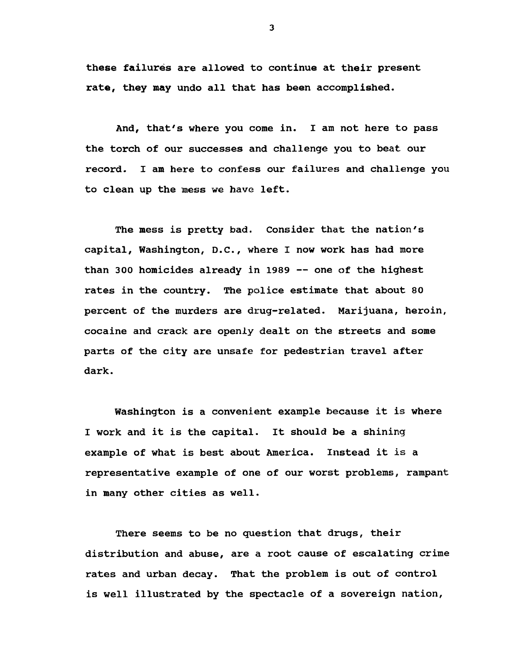these failures are allowed to continue at their present rate, they may undo all that has been accomplished.

And, that's where you come in. I am not here to pass the torch of our successes and challenge you to beat our record. I am here to confess our failures and challenge you to clean up the mess we have left.

The mess is pretty bad. Consider that the nation's capital, Washington, D.C., where I now work has had more than 300 homicides already in 1989 — one of the highest rates in the country. The police estimate that about 80 percent of the murders are drug-related. Marijuana, heroin, cocaine and crack are openly dealt on the streets and some parts of the city are unsafe for pedestrian travel after dark.

Washington is a convenient example because it is where I work and it is the capital. It should be a shining example of what is best about America. Instead it is a representative example of one of our worst problems, rampant in many other cities as well.

There seems to be no question that drugs, their distribution and abuse, are a root cause of escalating crime rates and urban decay. That the problem is out of control is well illustrated by the spectacle of a sovereign nation,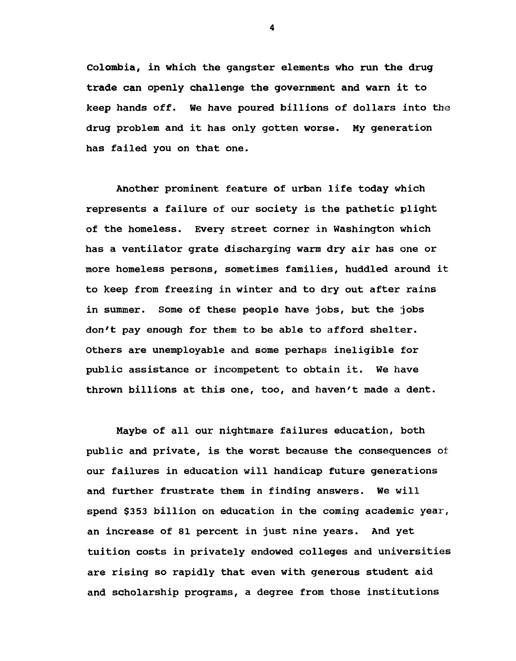Colombia, in which the gangster elements who run the drug trade can openly challenge the government and warn it to keep hands off. We have poured billions of dollars into the drug problem and it has only gotten worse. My generation has failed you on that one.

Another prominent feature of urban life today which represents a failure of our society is the pathetic plight of the homeless. Every street corner in Washington which has a ventilator grate discharging warm dry air has one or more homeless persons, sometimes families, huddled around it to keep from freezing in winter and to dry out after rains in summer. Some of these people have jobs, but the jobs don't pay enough for them to be able to afford shelter. Others are unemployable and some perhaps ineligible for public assistance or incompetent to obtain it. We have thrown billions at this one, too, and haven't made a dent.

Maybe of all our nightmare failures education, both public and private, is the worst because the consequences of our failures in education will handicap future generations and further frustrate them in finding answers. We will spend \$353 billion on education in the coming academic year, an increase of 81 percent in just nine years. And yet tuition costs in privately endowed colleges and universities are rising so rapidly that even with generous student aid and scholarship programs, a degree from those institutions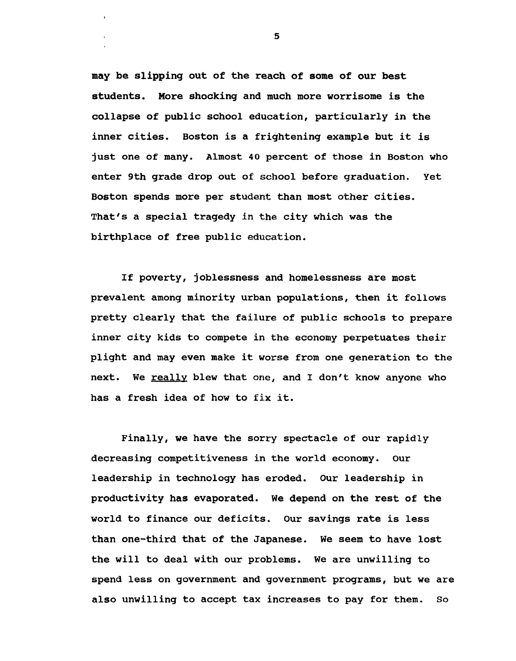may be slipping out of the reach of some of our best students. More shocking and much more worrisome is the collapse of public school education, particularly in the inner cities. Boston is a frightening example but it is just one of many. Almost 40 percent of those in Boston who enter 9th grade drop out of school before graduation. Yet Boston spends more per student than most other cities. That's a special tragedy in the city which was the birthplace of free public education.

If poverty, joblessness and homelessness are most prevalent among minority urban populations, then it follows pretty clearly that the failure of public schools to prepare inner city kids to compete in the economy perpetuates their plight and may even make it worse from one generation to the next. We really blew that one, and I don't know anyone who has a fresh idea of how to fix it.

Finally, we have the sorry spectacle of our rapidly decreasing competitiveness in the world economy. Our leadership in technology has eroded. Our leadership in productivity has evaporated. We depend on the rest of the world to finance our deficits. Our savings rate is less than one-third that of the Japanese. We seem to have lost the will to deal with our problems. We are unwilling to spend less on government and government programs, but we are also unwilling to accept tax increases to pay for them. So

 $\overline{\mathbf{5}}$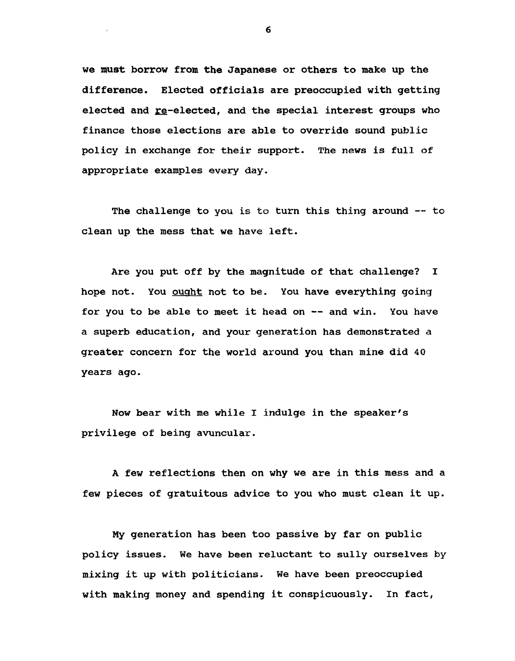we must borrow from the Japanese or others to make up the difference. Elected officials are preoccupied with getting elected and re-elected, and the special interest groups who finance those elections are able to override sound public policy in exchange for their support. The news is full of appropriate examples every day.

The challenge to you is to turn this thing around -- to clean up the mess that we have left.

Are you put off by the magnitude of that challenge? I hope not. You ought not to be. You have everything going for you to be able to meet it head on — and win. You have a superb education, and your generation has demonstrated a greater concern for the world around you than mine did 40 years ago.

Now bear with me while I indulge in the speaker's privilege of being avuncular.

A few reflections then on why we are in this mess and a few pieces of gratuitous advice to you who must clean it up.

My generation has been too passive by far on public policy issues. We have been reluctant to sully ourselves by mixing it up with politicians. We have been preoccupied with making money and spending it conspicuously. In fact,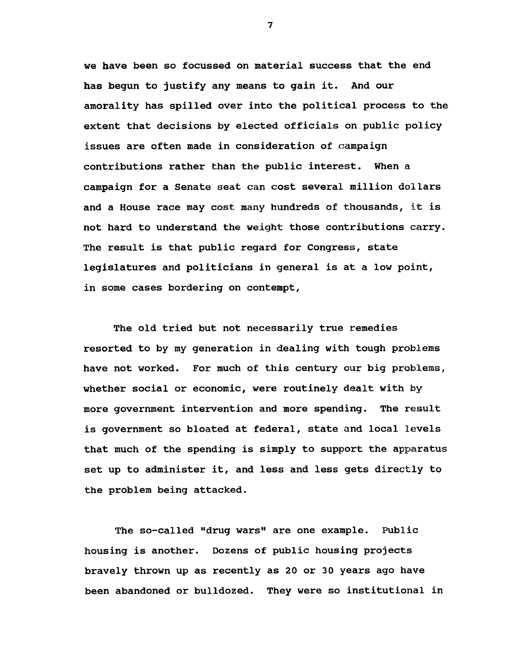we have been so focussed on material success that the end has begun to justify any means to gain it. And our amorality has spilled over into the political process to the extent that decisions by elected officials on public policy issues are often made in consideration of campaign contributions rather than the public interest. When a campaign for a Senate seat can cost several million dollars and a House race may cost many hundreds of thousands, it is not hard to understand the weight those contributions carry. The result is that public regard for Congress, state legislatures and politicians in general is at a low point, in some cases bordering on contempt,

The old tried but not necessarily true remedies resorted to by my generation in dealing with tough problems have not worked. For much of this century our big problems, whether social or economic, were routinely dealt with by more government intervention and more spending. The result is government so bloated at federal, state and local levels that much of the spending is simply to support the apparatus set up to administer it, and less and less gets directly to the problem being attacked.

The so-called "drug wars" are one example. Public housing is another. Dozens of public housing projects bravely thrown up as recently as 20 or 30 years ago have been abandoned or bulldozed. They were so institutional in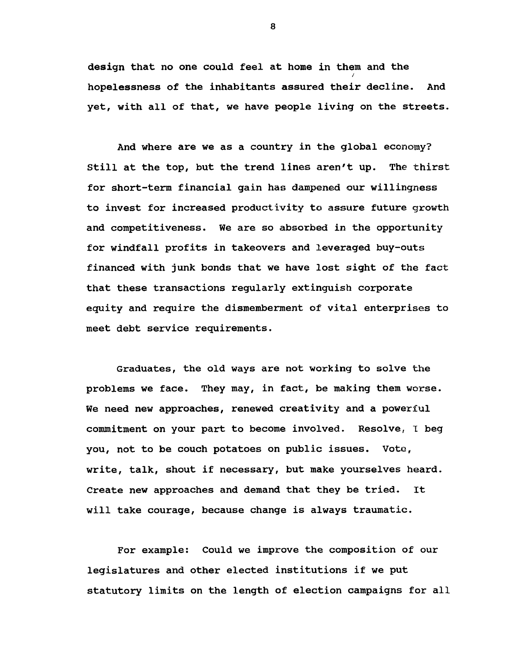design that no one could feel at home in them and the *<sup>1</sup>* hopelessness of the inhabitants assured their decline. And yet, with all of that, we have people living on the streets.

And where are we as a country in the global economy? Still at the top, but the trend lines aren't up. The thirst for short-term financial gain has dampened our willingness to invest for increased productivity to assure future growth and competitiveness. We are so absorbed in the opportunity for windfall profits in takeovers and leveraged buy-outs financed with junk bonds that we have lost sight of the fact that these transactions regularly extinguish corporate equity and require the dismemberment of vital enterprises to meet debt service requirements.

Graduates, the old ways are not working to solve the problems we face. They may, in fact, be making them worse. We need new approaches, renewed creativity and a powerful commitment on your part to become involved. Resolve, I beg you, not to be couch potatoes on public issues. Vote, write, talk, shout if necessary, but make yourselves heard. Create new approaches and demand that they be tried. It will take courage, because change is always traumatic.

For example: Could we improve the composition of our legislatures and other elected institutions if we put statutory limits on the length of election campaigns for all